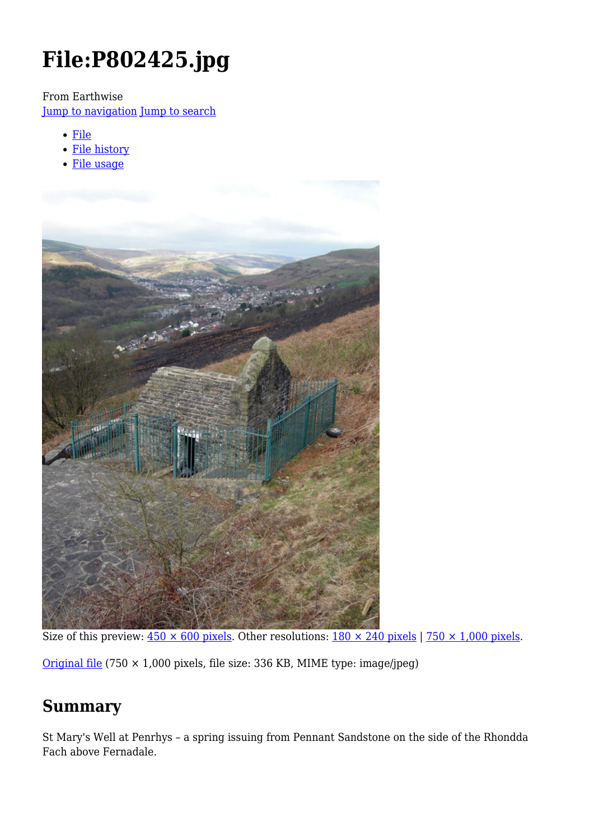# **File:P802425.jpg**

From Earthwise

[Jump to navigation](#page--1-0) [Jump to search](#page--1-0)

- [File](#page--1-0)
- [File history](#page--1-0)
- [File usage](#page--1-0)



Size of this preview:  $450 \times 600$  pixels. Other resolutions:  $180 \times 240$  pixels | 750  $\times$  1,000 pixels.

[Original file](http://earthwise.bgs.ac.uk/images/2/21/P802425.jpg) (750 × 1,000 pixels, file size: 336 KB, MIME type: image/jpeg)

# **Summary**

St Mary's Well at Penrhys – a spring issuing from Pennant Sandstone on the side of the Rhondda Fach above Fernadale.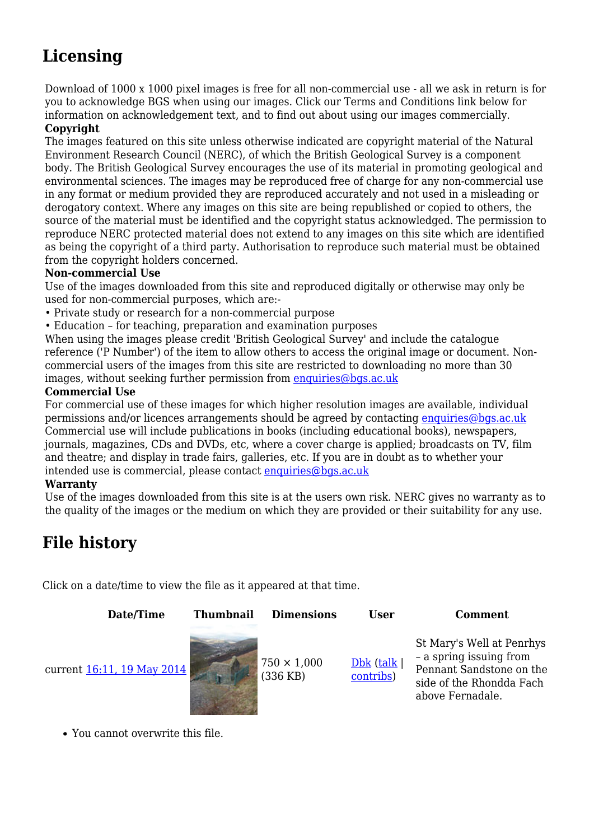# **Licensing**

Download of 1000 x 1000 pixel images is free for all non-commercial use - all we ask in return is for you to acknowledge BGS when using our images. Click our Terms and Conditions link below for information on acknowledgement text, and to find out about using our images commercially.

#### **Copyright**

The images featured on this site unless otherwise indicated are copyright material of the Natural Environment Research Council (NERC), of which the British Geological Survey is a component body. The British Geological Survey encourages the use of its material in promoting geological and environmental sciences. The images may be reproduced free of charge for any non-commercial use in any format or medium provided they are reproduced accurately and not used in a misleading or derogatory context. Where any images on this site are being republished or copied to others, the source of the material must be identified and the copyright status acknowledged. The permission to reproduce NERC protected material does not extend to any images on this site which are identified as being the copyright of a third party. Authorisation to reproduce such material must be obtained from the copyright holders concerned.

#### **Non-commercial Use**

Use of the images downloaded from this site and reproduced digitally or otherwise may only be used for non-commercial purposes, which are:-

- Private study or research for a non-commercial purpose
- Education for teaching, preparation and examination purposes

When using the images please credit 'British Geological Survey' and include the catalogue reference ('P Number') of the item to allow others to access the original image or document. Noncommercial users of the images from this site are restricted to downloading no more than 30 images, without seeking further permission from [enquiries@bgs.ac.uk](mailto:enquiries@bgs.ac.uk)

#### **Commercial Use**

For commercial use of these images for which higher resolution images are available, individual permissions and/or licences arrangements should be agreed by contacting [enquiries@bgs.ac.uk](mailto:enquiries@bgs.ac.uk) Commercial use will include publications in books (including educational books), newspapers, journals, magazines, CDs and DVDs, etc, where a cover charge is applied; broadcasts on TV, film and theatre; and display in trade fairs, galleries, etc. If you are in doubt as to whether your intended use is commercial, please contact [enquiries@bgs.ac.uk](mailto:enquiries@bgs.ac.uk)

#### **Warranty**

Use of the images downloaded from this site is at the users own risk. NERC gives no warranty as to the quality of the images or the medium on which they are provided or their suitability for any use.

# **File history**

Click on a date/time to view the file as it appeared at that time.



You cannot overwrite this file.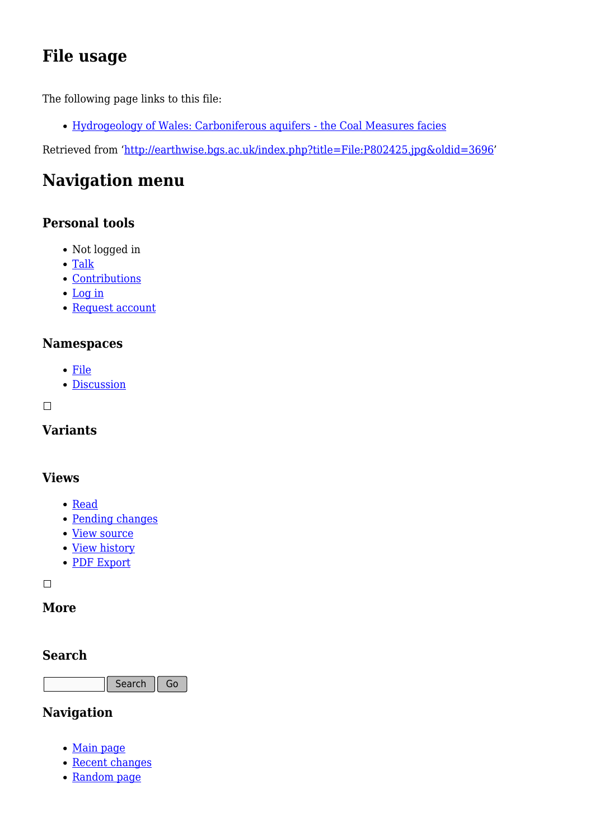# **File usage**

The following page links to this file:

[Hydrogeology of Wales: Carboniferous aquifers - the Coal Measures facies](http://earthwise.bgs.ac.uk/index.php/Hydrogeology_of_Wales:_Carboniferous_aquifers_-_the_Coal_Measures_facies)

Retrieved from ['http://earthwise.bgs.ac.uk/index.php?title=File:P802425.jpg&oldid=3696](http://earthwise.bgs.ac.uk/index.php?title=File:P802425.jpg&oldid=3696)'

# **Navigation menu**

# **Personal tools**

- Not logged in
- [Talk](http://earthwise.bgs.ac.uk/index.php/Special:MyTalk)
- [Contributions](http://earthwise.bgs.ac.uk/index.php/Special:MyContributions)
- [Log in](http://earthwise.bgs.ac.uk/index.php?title=Special:UserLogin&returnto=File%3AP802425.jpg&returntoquery=action%3Dmpdf)
- [Request account](http://earthwise.bgs.ac.uk/index.php/Special:RequestAccount)

### **Namespaces**

- [File](http://earthwise.bgs.ac.uk/index.php/File:P802425.jpg)
- [Discussion](http://earthwise.bgs.ac.uk/index.php?title=File_talk:P802425.jpg&action=edit&redlink=1)

 $\Box$ 

# **Variants**

#### **Views**

- [Read](http://earthwise.bgs.ac.uk/index.php?title=File:P802425.jpg&stable=1)
- [Pending changes](http://earthwise.bgs.ac.uk/index.php?title=File:P802425.jpg&stable=0&redirect=no)
- [View source](http://earthwise.bgs.ac.uk/index.php?title=File:P802425.jpg&action=edit)
- [View history](http://earthwise.bgs.ac.uk/index.php?title=File:P802425.jpg&action=history)
- [PDF Export](http://earthwise.bgs.ac.uk/index.php?title=File:P802425.jpg&action=mpdf)

 $\Box$ 

### **More**

### **Search**

Search Go

### **Navigation**

- [Main page](http://earthwise.bgs.ac.uk/index.php/Main_Page)
- [Recent changes](http://earthwise.bgs.ac.uk/index.php/Special:RecentChanges)
- [Random page](http://earthwise.bgs.ac.uk/index.php/Special:Random)